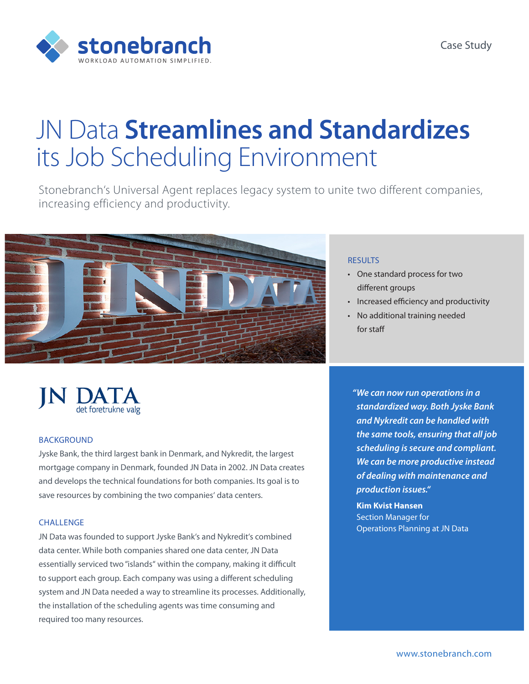

# JN Data **Streamlines and Standardizes** its Job Scheduling Environment

Stonebranch's Universal Agent replaces legacy system to unite two different companies, increasing efficiency and productivity.



#### BACKGROUND

Jyske Bank, the third largest bank in Denmark, and Nykredit, the largest mortgage company in Denmark, founded JN Data in 2002. JN Data creates and develops the technical foundations for both companies. Its goal is to save resources by combining the two companies' data centers.

### CHALLENGE

JN Data was founded to support Jyske Bank's and Nykredit's combined data center. While both companies shared one data center, JN Data essentially serviced two "islands" within the company, making it difficult to support each group. Each company was using a different scheduling system and JN Data needed a way to streamline its processes. Additionally, the installation of the scheduling agents was time consuming and required too many resources.

#### **RESULTS**

- • One standard process for two different groups
- • Increased efficiency and productivity
- No additional training needed for staff

*"We can now run operations in a standardized way. Both Jyske Bank and Nykredit can be handled with the same tools, ensuring that all job scheduling is secure and compliant. We can be more productive instead of dealing with maintenance and production issues."*

**Kim Kvist Hansen** Section Manager for Operations Planning at JN Data